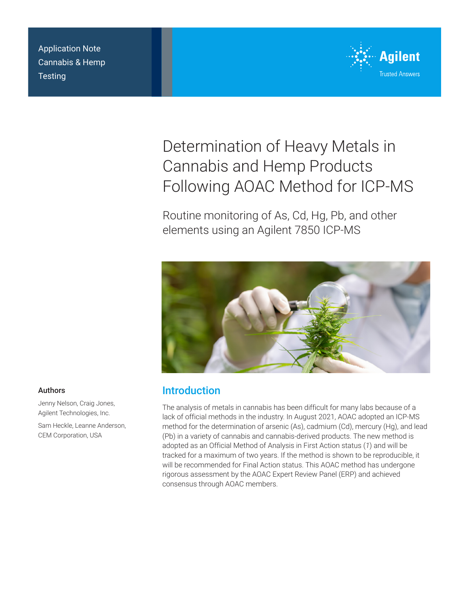Application Note Cannabis & Hemp **Testing** 



# Determination of Heavy Metals in Cannabis and Hemp Products Following AOAC Method for ICP-MS

Routine monitoring of As, Cd, Hg, Pb, and other elements using an Agilent 7850 ICP-MS



# Introduction

The analysis of metals in cannabis has been difficult for many labs because of a lack of official methods in the industry. In August 2021, AOAC adopted an ICP-MS method for the determination of arsenic (As), cadmium (Cd), mercury (Hg), and lead (Pb) in a variety of cannabis and cannabis-derived products. The new method is adopted as an Official Method of Analysis in First Action status (*1*) and will be tracked for a maximum of two years. If the method is shown to be reproducible, it will be recommended for Final Action status. This AOAC method has undergone rigorous assessment by the AOAC Expert Review Panel (ERP) and achieved consensus through AOAC members.

## Authors

Jenny Nelson, Craig Jones, Agilent Technologies, Inc.

Sam Heckle, Leanne Anderson, CEM Corporation, USA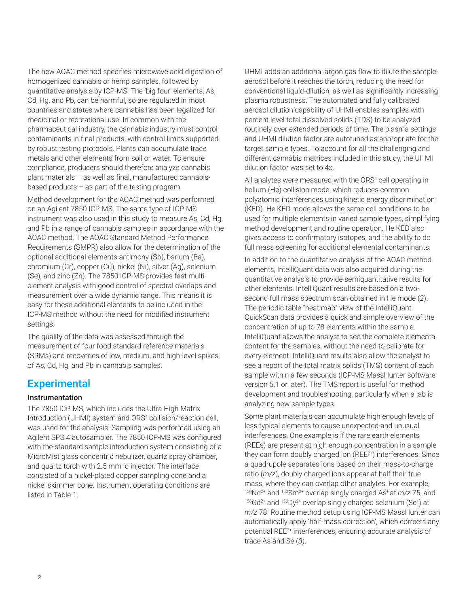The new AOAC method specifies microwave acid digestion of homogenized cannabis or hemp samples, followed by quantitative analysis by ICP-MS. The 'big four' elements, As, Cd, Hg, and Pb, can be harmful, so are regulated in most countries and states where cannabis has been legalized for medicinal or recreational use. In common with the pharmaceutical industry, the cannabis industry must control contaminants in final products, with control limits supported by robust testing protocols. Plants can accumulate trace metals and other elements from soil or water. To ensure compliance, producers should therefore analyze cannabis plant materials – as well as final, manufactured cannabisbased products  $-$  as part of the testing program.

Method development for the AOAC method was performed on an Agilent 7850 ICP-MS. The same type of ICP-MS instrument was also used in this study to measure As, Cd, Hg, and Pb in a range of cannabis samples in accordance with the AOAC method. The AOAC Standard Method Performance Requirements (SMPR) also allow for the determination of the optional additional elements antimony (Sb), barium (Ba), chromium (Cr), copper (Cu), nickel (Ni), silver (Ag), selenium (Se), and zinc (Zn). The 7850 ICP-MS provides fast multielement analysis with good control of spectral overlaps and measurement over a wide dynamic range. This means it is easy for these additional elements to be included in the ICP-MS method without the need for modified instrument settings.

The quality of the data was assessed through the measurement of four food standard reference materials (SRMs) and recoveries of low, medium, and high-level spikes of As, Cd, Hg, and Pb in cannabis samples.

# **Experimental**

## Instrumentation

The 7850 ICP-MS, which includes the Ultra High Matrix Introduction (UHMI) system and ORS<sup>4</sup> collision/reaction cell, was used for the analysis. Sampling was performed using an Agilent SPS 4 autosampler. The 7850 ICP-MS was configured with the standard sample introduction system consisting of a MicroMist glass concentric nebulizer, quartz spray chamber, and quartz torch with 2.5 mm id injector. The interface consisted of a nickel-plated copper sampling cone and a nickel skimmer cone. Instrument operating conditions are listed in Table 1.

UHMI adds an additional argon gas flow to dilute the sampleaerosol before it reaches the torch, reducing the need for conventional liquid-dilution, as well as significantly increasing plasma robustness. The automated and fully calibrated aerosol dilution capability of UHMI enables samples with percent level total dissolved solids (TDS) to be analyzed routinely over extended periods of time. The plasma settings and UHMI dilution factor are autotuned as appropriate for the target sample types. To account for all the challenging and different cannabis matrices included in this study, the UHMI dilution factor was set to 4x.

All analytes were measured with the ORS<sup>4</sup> cell operating in helium (He) collision mode, which reduces common polyatomic interferences using kinetic energy discrimination (KED). He KED mode allows the same cell conditions to be used for multiple elements in varied sample types, simplifying method development and routine operation. He KED also gives access to confirmatory isotopes, and the ability to do full mass screening for additional elemental contaminants.

In addition to the quantitative analysis of the AOAC method elements, IntelliQuant data was also acquired during the quantitative analysis to provide semiquantitative results for other elements. IntelliQuant results are based on a twosecond full mass spectrum scan obtained in He mode (*2*). The periodic table "heat map" view of the IntelliQuant QuickScan data provides a quick and simple overview of the concentration of up to 78 elements within the sample. IntelliQuant allows the analyst to see the complete elemental content for the samples, without the need to calibrate for every element. IntelliQuant results also allow the analyst to see a report of the total matrix solids (TMS) content of each sample within a few seconds (ICP-MS MassHunter software version 5.1 or later). The TMS report is useful for method development and troubleshooting, particularly when a lab is analyzing new sample types.

Some plant materials can accumulate high enough levels of less typical elements to cause unexpected and unusual interferences. One example is if the rare earth elements (REEs) are present at high enough concentration in a sample they can form doubly charged ion (REE<sup>2+</sup>) interferences. Since a quadrupole separates ions based on their mass-to-charge ratio (*m/z*), doubly charged ions appear at half their true mass, where they can overlap other analytes. For example, <sup>150</sup>Nd<sup>2+</sup> and <sup>150</sup>Sm<sup>2+</sup> overlap singly charged As<sup>+</sup> at *m/z* 75, and<br><sup>156</sup>Gd<sup>2+</sup> and <sup>156</sup>Dy<sup>2+</sup> overlap singly charged selenium (Se\*) at *m/z* 78. Routine method setup using ICP-MS MassHunter can automatically apply 'half-mass correction', which corrects any potential REE2+ interferences, ensuring accurate analysis of trace As and Se (*3*).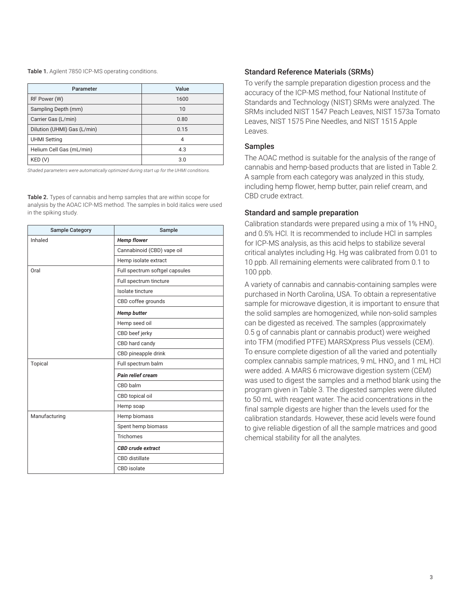Table 1. Agilent 7850 ICP-MS operating conditions.

| Parameter                   | Value |  |
|-----------------------------|-------|--|
| RF Power (W)                | 1600  |  |
| Sampling Depth (mm)         | 10    |  |
| Carrier Gas (L/min)         | 0.80  |  |
| Dilution (UHMI) Gas (L/min) | 0.15  |  |
| <b>UHMI Setting</b>         | 4     |  |
| Helium Cell Gas (mL/min)    | 4.3   |  |
| KED(V)                      | 3.0   |  |

*Shaded parameters were automatically optimized during start up for the UHMI conditions.*

Table 2. Types of cannabis and hemp samples that are within scope for analysis by the AOAC ICP-MS method. The samples in bold italics were used in the spiking study.

| <b>Sample Category</b> | Sample                         |  |  |
|------------------------|--------------------------------|--|--|
| Inhaled                | <b>Hemp flower</b>             |  |  |
|                        | Cannabinoid (CBD) vape oil     |  |  |
|                        | Hemp isolate extract           |  |  |
| Oral                   | Full spectrum softgel capsules |  |  |
|                        | Full spectrum tincture         |  |  |
|                        | Isolate tincture               |  |  |
|                        | CBD coffee grounds             |  |  |
|                        | <b>Hemp butter</b>             |  |  |
|                        | Hemp seed oil                  |  |  |
|                        | CBD beef jerky                 |  |  |
|                        | CBD hard candy                 |  |  |
|                        | CBD pineapple drink            |  |  |
| Topical                | Full spectrum balm             |  |  |
|                        | Pain relief cream              |  |  |
|                        | CBD balm                       |  |  |
|                        | CBD topical oil                |  |  |
|                        | Hemp soap                      |  |  |
| Manufacturing          | Hemp biomass                   |  |  |
|                        | Spent hemp biomass             |  |  |
|                        | <b>Trichomes</b>               |  |  |
|                        | <b>CBD</b> crude extract       |  |  |
|                        | <b>CBD</b> distillate          |  |  |
|                        | CBD isolate                    |  |  |

## Standard Reference Materials (SRMs)

To verify the sample preparation digestion process and the accuracy of the ICP-MS method, four National Institute of Standards and Technology (NIST) SRMs were analyzed. The SRMs included NIST 1547 Peach Leaves, NIST 1573a Tomato Leaves, NIST 1575 Pine Needles, and NIST 1515 Apple Leaves.

#### Samples

The AOAC method is suitable for the analysis of the range of cannabis and hemp-based products that are listed in Table 2. A sample from each category was analyzed in this study, including hemp flower, hemp butter, pain relief cream, and CBD crude extract.

#### Standard and sample preparation

Calibration standards were prepared using a mix of 1% HNO<sub>3</sub> and 0.5% HCl. It is recommended to include HCl in samples for ICP-MS analysis, as this acid helps to stabilize several critical analytes including Hg. Hg was calibrated from 0.01 to 10 ppb. All remaining elements were calibrated from 0.1 to 100 ppb.

A variety of cannabis and cannabis-containing samples were purchased in North Carolina, USA. To obtain a representative sample for microwave digestion, it is important to ensure that the solid samples are homogenized, while non-solid samples can be digested as received. The samples (approximately 0.5 g of cannabis plant or cannabis product) were weighed into TFM (modified PTFE) MARSXpress Plus vessels (CEM). To ensure complete digestion of all the varied and potentially complex cannabis sample matrices, 9 mL HNO $_{\tiny 3}$  and 1 mL HCl were added. A MARS 6 microwave digestion system (CEM) was used to digest the samples and a method blank using the program given in Table 3. The digested samples were diluted to 50 mL with reagent water. The acid concentrations in the final sample digests are higher than the levels used for the calibration standards. However, these acid levels were found to give reliable digestion of all the sample matrices and good chemical stability for all the analytes.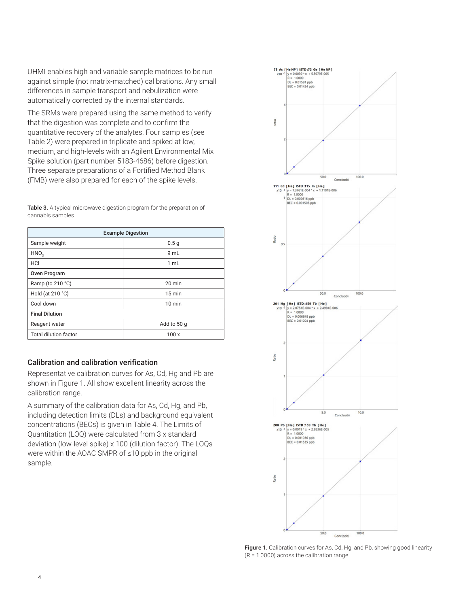UHMI enables high and variable sample matrices to be run against simple (not matrix-matched) calibrations. Any small differences in sample transport and nebulization were automatically corrected by the internal standards.

The SRMs were prepared using the same method to verify that the digestion was complete and to confirm the quantitative recovery of the analytes. Four samples (see Table 2) were prepared in triplicate and spiked at low, medium, and high-levels with an Agilent Environmental Mix Spike solution (part number 5183-4686) before digestion. Three separate preparations of a Fortified Method Blank (FMB) were also prepared for each of the spike levels.

Table 3. A typical microwave digestion program for the preparation of cannabis samples.

| <b>Example Digestion</b>     |                  |  |  |  |
|------------------------------|------------------|--|--|--|
| Sample weight                | 0.5 <sub>g</sub> |  |  |  |
| HNO <sub>2</sub>             | 9 mL             |  |  |  |
| HCI                          | 1 mL             |  |  |  |
| Oven Program                 |                  |  |  |  |
| Ramp (to 210 °C)             | $20 \text{ min}$ |  |  |  |
| Hold (at 210 °C)             | $15 \text{ min}$ |  |  |  |
| Cool down                    | $10 \text{ min}$ |  |  |  |
| <b>Final Dilution</b>        |                  |  |  |  |
| Reagent water                | Add to 50 g      |  |  |  |
| <b>Total dilution factor</b> | 100x             |  |  |  |

## Calibration and calibration verification

Representative calibration curves for As, Cd, Hg and Pb are shown in Figure 1. All show excellent linearity across the calibration range.

A summary of the calibration data for As, Cd, Hg, and Pb, including detection limits (DLs) and background equivalent concentrations (BECs) is given in Table 4. The Limits of Quantitation (LOQ) were calculated from 3 x standard deviation (low-level spike) x 100 (dilution factor). The LOQs were within the AOAC SMPR of ≤10 ppb in the original sample.



Figure 1. Calibration curves for As, Cd, Hg, and Pb, showing good linearity (R = 1.0000) across the calibration range.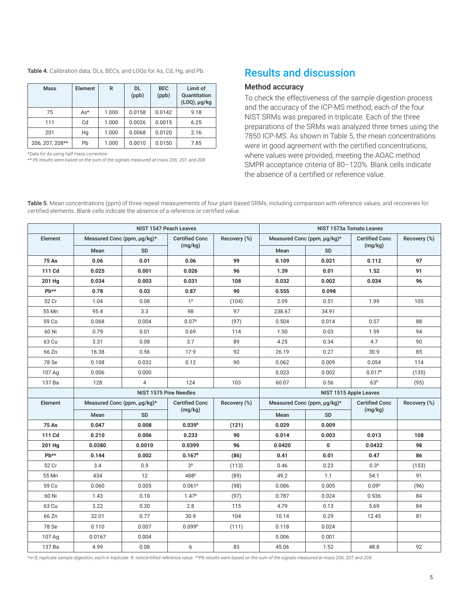| <b>Table 4.</b> Calibration data, DLs, BECs, and LOQs for As, Cd, Hg, and Pb. |  |  |  |  |  |
|-------------------------------------------------------------------------------|--|--|--|--|--|
|-------------------------------------------------------------------------------|--|--|--|--|--|

| <b>Mass</b>     | Element | R     | DL.<br>(ppb) | <b>BEC</b><br>(ppb) | Limit of<br>Quantitation<br>$(LOQ)$ , µg/kg |
|-----------------|---------|-------|--------------|---------------------|---------------------------------------------|
| 75              | $As*$   | 1.000 | 0.0158       | 0.0142              | 9.18                                        |
| 111             | Cd      | 1.000 | 0.0026       | 0.0015              | 6.25                                        |
| 201             | Hg      | 1.000 | 0.0068       | 0.0120              | 2.16                                        |
| 206, 207, 208** | Pb      | 1.000 | 0.0010       | 0.0150              | 7.85                                        |

*\*Data for As using half mass correction*

*\*\* Pb results were based on the sum of the signals measured at mass 206, 207, and 208.*

# Results and discussion

#### Method accuracy

To check the effectiveness of the sample digestion process and the accuracy of the ICP-MS method, each of the four NIST SRMs was prepared in triplicate. Each of the three preparations of the SRMs was analyzed three times using the 7850 ICP-MS. As shown in Table 5, the mean concentrations were in good agreement with the certified concentrations, where values were provided, meeting the AOAC method SMPR acceptance criteria of 80–120%. Blank cells indicate the absence of a certified or reference value.

Table 5. Mean concentrations (ppm) of three repeat measurements of four plant-based SRMs, including comparison with reference values, and recoveries for certified elements. Blank cells indicate the absence of a reference or certified value.

|              | NIST 1547 Peach Leaves                                  |                |                       |              | NIST 1573a Tomato Leaves    |           |                       |              |
|--------------|---------------------------------------------------------|----------------|-----------------------|--------------|-----------------------------|-----------|-----------------------|--------------|
| Element      | Measured Conc (ppm, µg/kg)*                             |                | <b>Certified Conc</b> | Recovery (%) | Measured Conc (ppm, µg/kg)* |           | <b>Certified Conc</b> | Recovery (%) |
|              | Mean                                                    | <b>SD</b>      | (mg/kg)               |              | Mean<br><b>SD</b>           |           | (mg/kg)               |              |
| <b>75 As</b> | 0.06                                                    | 0.01           | 0.06                  | 99           | 0.109                       | 0.021     | 0.112                 | 97           |
| 111 Cd       | 0.025                                                   | 0.001          | 0.026                 | 96           | 1.39                        | 0.01      | 1.52                  | 91           |
| 201 Hg       | 0.034                                                   | 0.003          | 0.031                 | 108          | 0.032                       | 0.002     | 0.034                 | 96           |
| Pb**         | 0.78                                                    | 0.02           | 0.87                  | 90           | 0.555                       | 0.098     |                       |              |
| 52 Cr        | 1.04                                                    | 0.08           | 1 <sup>R</sup>        | (104)        | 2.09                        | 0.51      | 1.99                  | 105          |
| 55 Mn        | 95.4                                                    | 3.3            | 98                    | 97           | 238.67                      | 34.91     |                       |              |
| 59 Co        | 0.068                                                   | 0.004          | 0.07 <sup>R</sup>     | (97)         | 0.504                       | 0.014     | 0.57                  | 88           |
| 60 Ni        | 0.79                                                    | 0.01           | 0.69                  | 114          | 1.50                        | 0.03      | 1.59                  | 94           |
| 63 Cu        | 3.31                                                    | 0.08           | 3.7                   | 89           | 4.25                        | 0.34      | 4.7                   | 90           |
| 66 Zn        | 16.38                                                   | 0.56           | 17.9                  | 92           | 26.19                       | 0.27      | 30.9                  | 85           |
| 78 Se        | 0.108                                                   | 0.032          | 0.12                  | 90           | 0.062                       | 0.009     | 0.054                 | 114          |
| 107 Ag       | 0.006                                                   | 0.000          |                       |              | 0.023                       | 0.002     | 0.017 <sup>R</sup>    | (135)        |
| 137 Ba       | 128                                                     | $\overline{4}$ | 124                   | 103          | 60.07                       | 0.56      | 63 <sup>R</sup>       | (95)         |
|              | <b>NIST 1575 Pine Needles</b><br>NIST 1515 Apple Leaves |                |                       |              |                             |           |                       |              |
| Element      | Measured Conc (ppm, µg/kg)*                             |                | <b>Certified Conc</b> | Recovery (%) | Measured Conc (ppm, µg/kg)* |           | <b>Certified Conc</b> | Recovery (%) |
|              | Mean                                                    | <b>SD</b>      | (mg/kg)               |              | Mean                        | <b>SD</b> | (mg/kg)               |              |
| <b>75 As</b> | 0.047                                                   | 0.008          | $0.039^{R}$           | (121)        | 0.029                       | 0.009     |                       |              |
| 111 Cd       | 0.210                                                   | 0.006          | 0.233                 | 90           | 0.014                       | 0.003     | 0.013                 | 108          |
| 201 Hg       | 0.0380                                                  | 0.0010         | 0.0399                | 96           | 0.0420                      | 0         | 0.0432                | 98           |
| Pb**         | 0.144                                                   | 0.002          | 0.167 <sup>R</sup>    | (86)         | 0.41                        | 0.01      | 0.47                  | 86           |
| 52 Cr        | 3.4                                                     | 0.9            | 3 <sup>R</sup>        | (113)        | 0.46                        | 0.23      | 0.3 <sup>R</sup>      | (153)        |
| 55 Mn        | 434                                                     | 12             | 488R                  | (89)         | 49.2                        | 1.1       | 54.1                  | 91           |
| 59 Co        | 0.060                                                   | 0.005          | 0.061 <sup>R</sup>    | (98)         | 0.086                       | 0.005     | 0.09 <sup>R</sup>     | (96)         |
| 60 Ni        | 1.43                                                    | 0.10           | 1.47 <sup>R</sup>     | (97)         | 0.787                       | 0.024     | 0.936                 | 84           |
| 63 Cu        | 3.22                                                    | 0.30           | 2.8                   | 115          | 4.79                        | 0.13      | 5.69                  | 84           |
| 66 Zn        | 32.01                                                   | 0.77           | 30.9                  | 104          | 10.14                       | 0.29      | 12.45                 | 81           |
| 78 Se        | 0.110                                                   | 0.007          | 0.099R                | (111)        | 0.118                       | 0.024     |                       |              |
| 107 Ag       | 0.0167                                                  | 0.004          |                       |              | 0.006                       | 0.001     |                       |              |
| 137 Ba       | 4.99                                                    | 0.08           | 6                     | 83           | 45.06                       | 1.52      | 48.8                  | 92           |

*\*n=9, replicate sample digestion, each in triplicate. R: noncertified reference value. \*\*Pb results were based on the sum of the signals measured at mass 206, 207, and 208.*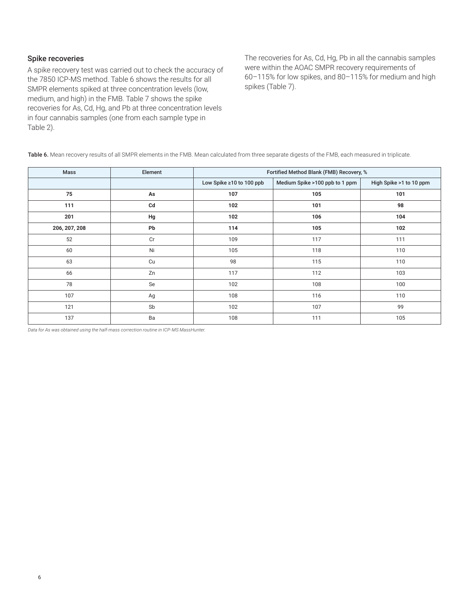## Spike recoveries

A spike recovery test was carried out to check the accuracy of the 7850 ICP-MS method. Table 6 shows the results for all SMPR elements spiked at three concentration levels (low, medium, and high) in the FMB. Table 7 shows the spike recoveries for As, Cd, Hg, and Pb at three concentration levels in four cannabis samples (one from each sample type in Table 2).

The recoveries for As, Cd, Hg, Pb in all the cannabis samples were within the AOAC SMPR recovery requirements of 60–115% for low spikes, and 80–115% for medium and high spikes (Table 7).

Table 6. Mean recovery results of all SMPR elements in the FMB. Mean calculated from three separate digests of the FMB, each measured in triplicate.

| Mass          | Element | Fortified Method Blank (FMB) Recovery, % |                                |                         |  |
|---------------|---------|------------------------------------------|--------------------------------|-------------------------|--|
|               |         | Low Spike ≥10 to 100 ppb                 | Medium Spike >100 ppb to 1 ppm | High Spike >1 to 10 ppm |  |
| 75            | As      | 107                                      | 105                            | 101                     |  |
| 111           | Cd      | 102                                      | 101                            | 98                      |  |
| 201           | Hg      | 102                                      | 106                            | 104                     |  |
| 206, 207, 208 | Pb      | 114                                      | 105                            | 102                     |  |
| 52            | Cr      | 109                                      | 117                            | 111                     |  |
| 60            | Ni      | 105                                      | 118                            | 110                     |  |
| 63            | Cu      | 98                                       | 115                            | 110                     |  |
| 66            | Zn      | 117                                      | 112                            | 103                     |  |
| 78            | Se      | 102                                      | 108                            | 100                     |  |
| 107           | Ag      | 108                                      | 116                            | 110                     |  |
| 121           | Sb      | 102                                      | 107                            | 99                      |  |
| 137           | Ba      | 108                                      | 111                            | 105                     |  |

*Data for As was obtained using the half-mass correction routine in ICP-MS MassHunter.*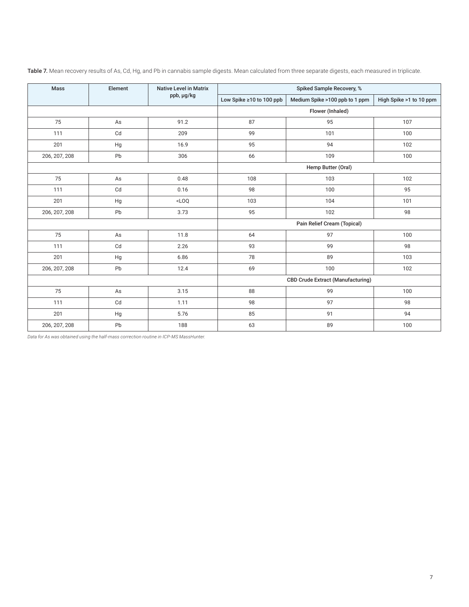| Mass          | Element       | <b>Native Level in Matrix</b> | Spiked Sample Recovery, %                |                                |                         |
|---------------|---------------|-------------------------------|------------------------------------------|--------------------------------|-------------------------|
|               |               | ppb, µg/kg                    | Low Spike ≥10 to 100 ppb                 | Medium Spike >100 ppb to 1 ppm | High Spike >1 to 10 ppm |
|               |               |                               |                                          | Flower (Inhaled)               |                         |
| 75            | As            | 91.2                          | 87                                       | 95                             | 107                     |
| 111           | Cd            | 209                           | 99                                       | 101                            | 100                     |
| 201           | Hg            | 16.9                          | 95                                       | 94                             | 102                     |
| 206, 207, 208 | Pb            | 306                           | 66                                       | 109                            | 100                     |
|               |               |                               | Hemp Butter (Oral)                       |                                |                         |
| 75            | $\mathsf{As}$ | 0.48                          | 108                                      | 103                            | 102                     |
| 111           | Cd            | 0.16                          | 98                                       | 100                            | 95                      |
| 201           | Hg            | $<$ LOQ                       | 103                                      | 104                            | 101                     |
| 206, 207, 208 | Pb            | 3.73                          | 95                                       | 102                            | 98                      |
|               |               |                               | Pain Relief Cream (Topical)              |                                |                         |
| 75            | $\mathsf{As}$ | 11.8                          | 64                                       | 97                             | 100                     |
| 111           | Cd            | 2.26                          | 93                                       | 99                             | 98                      |
| 201           | $_{\rm Hg}$   | 6.86                          | 78                                       | 89                             | 103                     |
| 206, 207, 208 | Pb            | 12.4                          | 69                                       | 100                            | 102                     |
|               |               |                               | <b>CBD Crude Extract (Manufacturing)</b> |                                |                         |
| 75            | As            | 3.15                          | 88                                       | 99                             | 100                     |
| 111           | Cd            | 1.11                          | 98                                       | 97                             | 98                      |
| 201           | Hg            | 5.76                          | 85                                       | 91                             | 94                      |
| 206, 207, 208 | Pb            | 188                           | 63                                       | 89                             | 100                     |

Table 7. Mean recovery results of As, Cd, Hg, and Pb in cannabis sample digests. Mean calculated from three separate digests, each measured in triplicate.

*Data for As was obtained using the half-mass correction routine in ICP-MS MassHunter.*